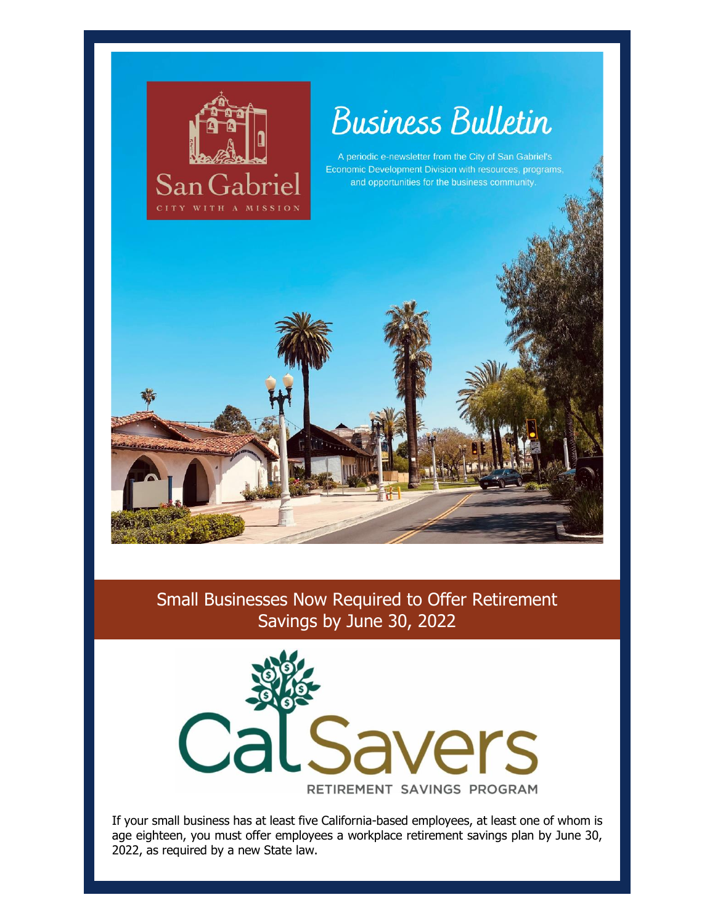

# **Business Bulletin**

A periodic e-newsletter from the City of San Gabriel's Economic Development Division with resources, programs and opportunities for the business community.



# Small Businesses Now Required to Offer Retirement Savings by June 30, 2022



If your small business has at least five California-based employees, at least one of whom is age eighteen, you must offer employees a workplace retirement savings plan by June 30, 2022, as required by a new State law.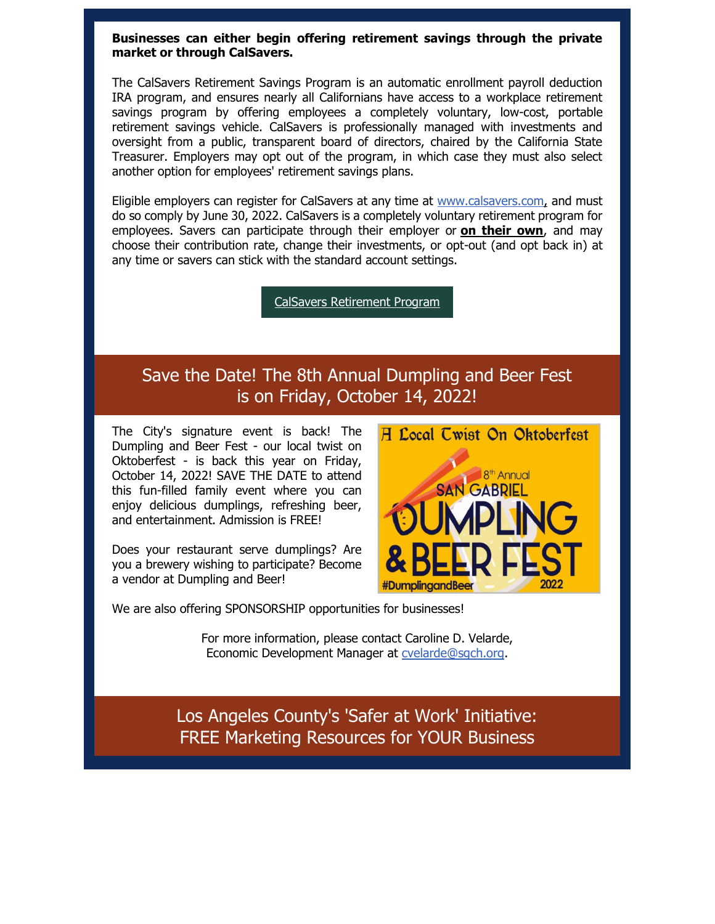#### **Businesses can either begin offering retirement savings through the private market or through CalSavers.**

The CalSavers Retirement Savings Program is an automatic enrollment payroll deduction IRA program, and ensures nearly all Californians have access to a workplace retirement savings program by offering employees a completely voluntary, low-cost, portable retirement savings vehicle. CalSavers is professionally managed with investments and oversight from a public, transparent board of directors, chaired by the California State Treasurer. Employers may opt out of the program, in which case they must also select another option for employees' retirement savings plans.

Eligible employers can register for CalSavers at any time at [www.calsavers.com,](https://nam12.safelinks.protection.outlook.com/?url=https%3A%2F%2Fr20.rs6.net%2Ftn.jsp%3Ff%3D001sEnGehbwOZ2re2gf0v3HLbqKc61rdfBRRI-paU8pdkIAakjgbyKa8hy9WCHDr4PwEjCaYz0fzMfU0ZE5qP9eEiOMqFMX85KpQcDA7HZK01x3PUp64yPMuJPtVP780jSsjqUiso1kgzTcOISB5-j0pg%3D%3D%26c%3Dn1ZfmucliXRvu6esVJL26tW8tfxIRepOhBeF13ou6PWfo8oz03J00Q%3D%3D%26ch%3D8Oo4wQonsiPtr7e27LTHPkmbIEOMpWRrs1qrKZlOMAV-EXlVR9pmKg%3D%3D&data=05%7C01%7C%7Cfe7968966c8242887cc908da4907fb59%7C84df9e7fe9f640afb435aaaaaaaaaaaa%7C1%7C0%7C637902595891504824%7CUnknown%7CTWFpbGZsb3d8eyJWIjoiMC4wLjAwMDAiLCJQIjoiV2luMzIiLCJBTiI6Ik1haWwiLCJXVCI6Mn0%3D%7C3000%7C%7C%7C&sdata=Suognut%2FCn8EJ8EFam1TfCGCYCMKfyHgrzIaLDqdchY%3D&reserved=0) and must do so comply by June 30, 2022. CalSavers is a completely voluntary retirement program for employees. Savers can participate through their employer or **[on their own](https://nam12.safelinks.protection.outlook.com/?url=https%3A%2F%2Fr20.rs6.net%2Ftn.jsp%3Ff%3D001nGTtnGcuH2bf4GEVNOwzwSqmVB613Uht5RI6wS5zgrdTX_PeSBOqebWU8dr9XX3AGNuIJq8zFMcYuPLNZPZju952d2svMdYBY12mk31j7gWD68timTRLsFUsjWgYD2SbluuDTVZLsGM99HnK6ynW94pcjQ5onwOn-LRXdHGi3cfRufkOhmwnmCkqCuOe3cWSCtc8D7jTL31tywMmOSI1TQB_mb2napCj%26c%3DqyN4QPhzWQ5xZ8NZANA-XkM2tD6q5QuOviCEd5peFH18AuMJq1PzRA%3D%3D%26ch%3DEb9dLY3e5wUdY18HcUUJh7X2Lz44LQdMXVKcVD9aFE_t2hKscXhIzA%3D%3D&data=05%7C01%7C%7Cfe7968966c8242887cc908da4907fb59%7C84df9e7fe9f640afb435aaaaaaaaaaaa%7C1%7C0%7C637902595891504824%7CUnknown%7CTWFpbGZsb3d8eyJWIjoiMC4wLjAwMDAiLCJQIjoiV2luMzIiLCJBTiI6Ik1haWwiLCJXVCI6Mn0%3D%7C3000%7C%7C%7C&sdata=YyCGzenvZnEDiSaTj0jA1%2FhpVQl3l7guPVflSf%2FTATo%3D&reserved=0)**, and may choose their contribution rate, change their investments, or opt-out (and opt back in) at any time or savers can stick with the standard account settings.

[CalSavers Retirement Program](https://nam12.safelinks.protection.outlook.com/?url=https%3A%2F%2Fr20.rs6.net%2Ftn.jsp%3Ff%3D001sEnGehbwOZ2re2gf0v3HLbqKc61rdfBRRI-paU8pdkIAakjgbyKa8hy9WCHDr4PwkQLcvZGEtF2nPEOwFmFEJ0ZLM4NDLCX-BkxT8OJztnDvZH3RBkG3U17a4iruuEFL4dNpmSPQkjxWRXL1R1Qxjw%3D%3D%26c%3Dn1ZfmucliXRvu6esVJL26tW8tfxIRepOhBeF13ou6PWfo8oz03J00Q%3D%3D%26ch%3D8Oo4wQonsiPtr7e27LTHPkmbIEOMpWRrs1qrKZlOMAV-EXlVR9pmKg%3D%3D&data=05%7C01%7C%7Cfe7968966c8242887cc908da4907fb59%7C84df9e7fe9f640afb435aaaaaaaaaaaa%7C1%7C0%7C637902595891504824%7CUnknown%7CTWFpbGZsb3d8eyJWIjoiMC4wLjAwMDAiLCJQIjoiV2luMzIiLCJBTiI6Ik1haWwiLCJXVCI6Mn0%3D%7C3000%7C%7C%7C&sdata=OGUelMvTubC7M5tEE5%2FtxOasBugnUMR9DY8ED6QCdMM%3D&reserved=0)

# Save the Date! The 8th Annual Dumpling and Beer Fest is on Friday, October 14, 2022!

The City's signature event is back! The Dumpling and Beer Fest - our local twist on Oktoberfest - is back this year on Friday, October 14, 2022! SAVE THE DATE to attend this fun-filled family event where you can enjoy delicious dumplings, refreshing beer, and entertainment. Admission is FREE!

Does your restaurant serve dumplings? Are you a brewery wishing to participate? Become a vendor at Dumpling and Beer!



For more information, please contact Caroline D. Velarde, Economic Development Manager at [cvelarde@sgch.org.](mailto:cvelarde@sgch.org)

Los Angeles County's 'Safer at Work' Initiative: FREE Marketing Resources for YOUR Business

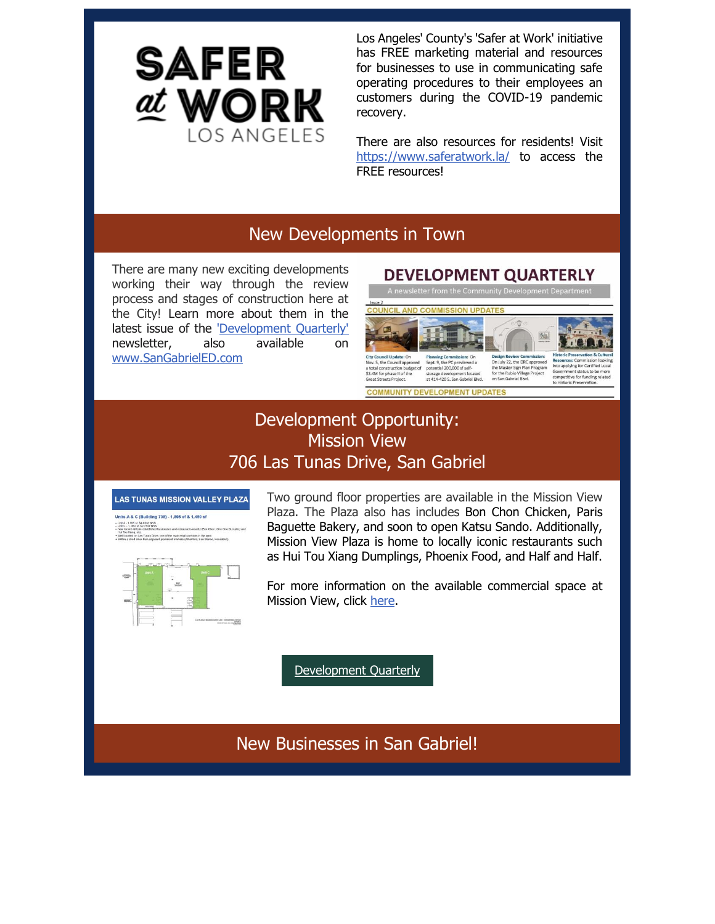

Los Angeles' County's 'Safer at Work' initiative has FREE marketing material and resources for businesses to use in communicating safe operating procedures to their employees an customers during the COVID-19 pandemic recovery.

There are also resources for residents! Visit [https://www.saferatwork.la/](https://nam12.safelinks.protection.outlook.com/?url=https%3A%2F%2Fr20.rs6.net%2Ftn.jsp%3Ff%3D001sEnGehbwOZ2re2gf0v3HLbqKc61rdfBRRI-paU8pdkIAakjgbyKa8hy9WCHDr4PwL-OMcCjaczICtNkylugY7lRRHCznWDGClGavSR7OGkL__FhRx6Qnmn-cSd6vfeKBidONahnMD7q_BK3dbD1amQ%3D%3D%26c%3Dn1ZfmucliXRvu6esVJL26tW8tfxIRepOhBeF13ou6PWfo8oz03J00Q%3D%3D%26ch%3D8Oo4wQonsiPtr7e27LTHPkmbIEOMpWRrs1qrKZlOMAV-EXlVR9pmKg%3D%3D&data=05%7C01%7C%7Cfe7968966c8242887cc908da4907fb59%7C84df9e7fe9f640afb435aaaaaaaaaaaa%7C1%7C0%7C637902595891504824%7CUnknown%7CTWFpbGZsb3d8eyJWIjoiMC4wLjAwMDAiLCJQIjoiV2luMzIiLCJBTiI6Ik1haWwiLCJXVCI6Mn0%3D%7C3000%7C%7C%7C&sdata=zzw4uWPYdKdnIaC8OGDmU2yoW%2F6vvEPVCFdgs5soZ4k%3D&reserved=0) to access the FREE resources!

### New Developments in Town

There are many new exciting developments working their way through the review process and stages of construction here at the City! Learn more about them in the latest issue of the ['Development Quarterly'](https://nam12.safelinks.protection.outlook.com/?url=https%3A%2F%2Fr20.rs6.net%2Ftn.jsp%3Ff%3D001sEnGehbwOZ2re2gf0v3HLbqKc61rdfBRRI-paU8pdkIAakjgbyKa8kIH1wsDh5FNXtIEmude7lM0oldm2CZBJ8MKpw0uNh-ptANtYBmkqCwBOskIeE3QNjq38BfOmPRQ1WlYsOCNhIKakFXvHbhB3hdd7bKYS28z7mSfyXZq0vQ_Og-RixwmbajeQaN9odKgnlr-LKuOY6dx6XuFKANJj86vctdycRQLpk9XWqaRQt3VWlcGlTDomztwUbAgwRSo%26c%3Dn1ZfmucliXRvu6esVJL26tW8tfxIRepOhBeF13ou6PWfo8oz03J00Q%3D%3D%26ch%3D8Oo4wQonsiPtr7e27LTHPkmbIEOMpWRrs1qrKZlOMAV-EXlVR9pmKg%3D%3D&data=05%7C01%7C%7Cfe7968966c8242887cc908da4907fb59%7C84df9e7fe9f640afb435aaaaaaaaaaaa%7C1%7C0%7C637902595891504824%7CUnknown%7CTWFpbGZsb3d8eyJWIjoiMC4wLjAwMDAiLCJQIjoiV2luMzIiLCJBTiI6Ik1haWwiLCJXVCI6Mn0%3D%7C3000%7C%7C%7C&sdata=dqW%2BK5r%2BIeIiDU06lhZ50BShUsD7jODsziDD8MFxnf8%3D&reserved=0) newsletter, also available on [www.SanGabrielED.com](https://nam12.safelinks.protection.outlook.com/?url=https%3A%2F%2Fr20.rs6.net%2Ftn.jsp%3Ff%3D001sEnGehbwOZ2re2gf0v3HLbqKc61rdfBRRI-paU8pdkIAakjgbyKa8kIH1wsDh5FNQvR2AfZOH6lTa_3YvQPbl6YHFs8TXPCGSt8ydrIP7VzRgbZcdKdcW61QE-06nIgh0g9KQ_NOB9vufBGLiDlQ3g%3D%3D%26c%3Dn1ZfmucliXRvu6esVJL26tW8tfxIRepOhBeF13ou6PWfo8oz03J00Q%3D%3D%26ch%3D8Oo4wQonsiPtr7e27LTHPkmbIEOMpWRrs1qrKZlOMAV-EXlVR9pmKg%3D%3D&data=05%7C01%7C%7Cfe7968966c8242887cc908da4907fb59%7C84df9e7fe9f640afb435aaaaaaaaaaaa%7C1%7C0%7C637902595891504824%7CUnknown%7CTWFpbGZsb3d8eyJWIjoiMC4wLjAwMDAiLCJQIjoiV2luMzIiLCJBTiI6Ik1haWwiLCJXVCI6Mn0%3D%7C3000%7C%7C%7C&sdata=DfZO7z%2Fwz7wjFo0p2gnaPsJK4GMbVFT1brjT1EhOc3c%3D&reserved=0)

#### **DEVELOPMENT QUARTERLY** A newsletter from the Community Development Departme AND COMMISSION UPDATE Planning Commission: O<br>Sept. 9, the PC previewed<br>potential 200,000 sf self-<br>storage development loc Design Review Commission:<br>On July 22, the DRC approver v. 5, the Council approved nstruction budget of the Master Sign Plan Program<br>for the Rubio Village Project<br>on San Gabriel Blvd. \$2.4M for phase II of the<br>Great Streets Project. storage development located<br>at 414-420 S. San Gabriel Blvd. ve for funding relate **COMMUNITY DEVELOPMENT UPDATES**

# Development Opportunity: Mission View 706 Las Tunas Drive, San Gabriel



Units A & C (Building 708) - 1,895 sf & 1,450 sf Link A - 1,895 sf, \$4,00sf NNN<br>Link C - 1, 450 sf, \$2,75/sf NNN<br>New tenant will join established in extaceshed businesses and restaurants rearby (exin Union, c<br>c)<br>us Tunas Drive, one of the main retail contidors in the area<br>ve from adjacent prominent markets (Alhambra, San Marino, Pe



Two ground floor properties are available in the Mission View Plaza. The Plaza also has includes Bon Chon Chicken, Paris Baguette Bakery, and soon to open Katsu Sando. Additionally, Mission View Plaza is home to locally iconic restaurants such as Hui Tou Xiang Dumplings, Phoenix Food, and Half and Half.

For more information on the available commercial space at Mission View, click [here.](https://nam12.safelinks.protection.outlook.com/?url=https%3A%2F%2Fr20.rs6.net%2Ftn.jsp%3Ff%3D001sEnGehbwOZ2re2gf0v3HLbqKc61rdfBRRI-paU8pdkIAakjgbyKa8hy9WCHDr4PwgOqK6OXH91zvnXqLb10xrMu91jRX_q1WHu1E-mN9Y7PQl43azvD9CXTrSaR6mtu9SKd4raZXvgeFTVTtiWopR90nJ4PWQ3ZyjcmuDZWJ2xb3lVu1d5sGUDjgumBqbPwZZ0l0NzyWjrttBXfLQAJap11hZVbWbrKZRwwoCz6TAfo%3D%26c%3Dn1ZfmucliXRvu6esVJL26tW8tfxIRepOhBeF13ou6PWfo8oz03J00Q%3D%3D%26ch%3D8Oo4wQonsiPtr7e27LTHPkmbIEOMpWRrs1qrKZlOMAV-EXlVR9pmKg%3D%3D&data=05%7C01%7C%7Cfe7968966c8242887cc908da4907fb59%7C84df9e7fe9f640afb435aaaaaaaaaaaa%7C1%7C0%7C637902595891504824%7CUnknown%7CTWFpbGZsb3d8eyJWIjoiMC4wLjAwMDAiLCJQIjoiV2luMzIiLCJBTiI6Ik1haWwiLCJXVCI6Mn0%3D%7C3000%7C%7C%7C&sdata=ABxSL%2BSKkfW3c3rVAZXOAHYtMzFmhq%2BVuHdUh9jikVA%3D&reserved=0)

[Development Quarterly](https://nam12.safelinks.protection.outlook.com/?url=https%3A%2F%2Fr20.rs6.net%2Ftn.jsp%3Ff%3D001sEnGehbwOZ2re2gf0v3HLbqKc61rdfBRRI-paU8pdkIAakjgbyKa8kIH1wsDh5FNXtIEmude7lM0oldm2CZBJ8MKpw0uNh-ptANtYBmkqCwBOskIeE3QNjq38BfOmPRQ1WlYsOCNhIKakFXvHbhB3hdd7bKYS28z7mSfyXZq0vQ_Og-RixwmbajeQaN9odKgnlr-LKuOY6dx6XuFKANJj86vctdycRQLpk9XWqaRQt3VWlcGlTDomztwUbAgwRSo%26c%3Dn1ZfmucliXRvu6esVJL26tW8tfxIRepOhBeF13ou6PWfo8oz03J00Q%3D%3D%26ch%3D8Oo4wQonsiPtr7e27LTHPkmbIEOMpWRrs1qrKZlOMAV-EXlVR9pmKg%3D%3D&data=05%7C01%7C%7Cfe7968966c8242887cc908da4907fb59%7C84df9e7fe9f640afb435aaaaaaaaaaaa%7C1%7C0%7C637902595891504824%7CUnknown%7CTWFpbGZsb3d8eyJWIjoiMC4wLjAwMDAiLCJQIjoiV2luMzIiLCJBTiI6Ik1haWwiLCJXVCI6Mn0%3D%7C3000%7C%7C%7C&sdata=dqW%2BK5r%2BIeIiDU06lhZ50BShUsD7jODsziDD8MFxnf8%3D&reserved=0)

New Businesses in San Gabriel!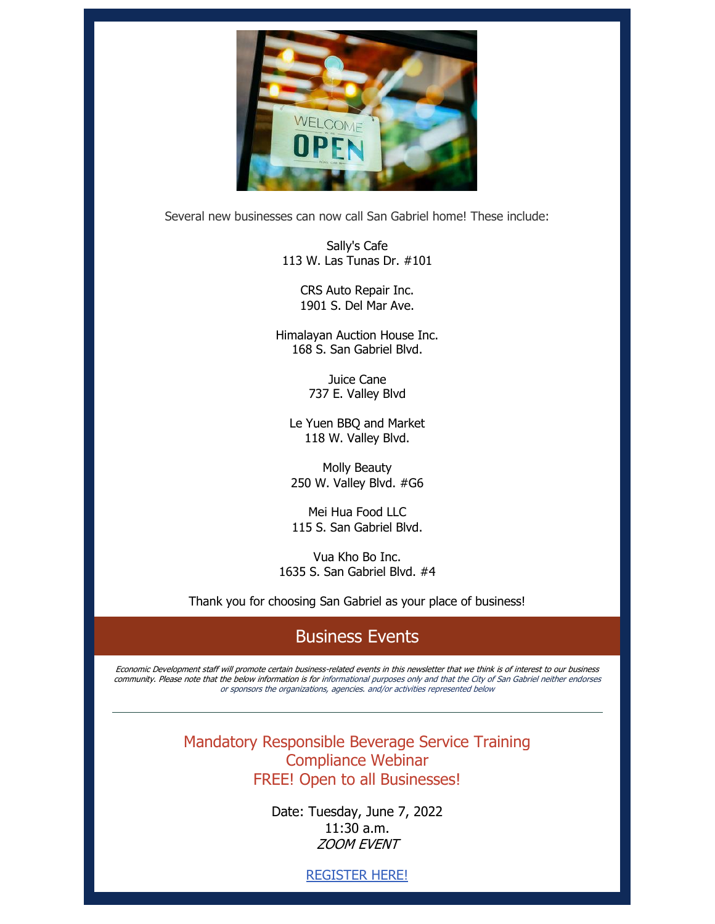

Several new businesses can now call San Gabriel home! These include:

Sally's Cafe 113 W. Las Tunas Dr. #101

> CRS Auto Repair Inc. 1901 S. Del Mar Ave.

Himalayan Auction House Inc. 168 S. San Gabriel Blvd.

> Juice Cane 737 E. Valley Blvd

Le Yuen BBQ and Market 118 W. Valley Blvd.

Molly Beauty 250 W. Valley Blvd. #G6

Mei Hua Food LLC 115 S. San Gabriel Blvd.

Vua Kho Bo Inc. 1635 S. San Gabriel Blvd. #4

Thank you for choosing San Gabriel as your place of business!

# Business Events

Economic Development staff will promote certain business-related events in this newsletter that we think is of interest to our business community. Please note that the below information is for informational purposes only and that the City of San Gabriel neither endorses or sponsors the organizations, agencies. and/or activities represented below

> Mandatory Responsible Beverage Service Training Compliance Webinar FREE! Open to all Businesses!

> > Date: Tuesday, June 7, 2022 11:30 a.m. ZOOM EVENT

> > > [REGISTER HERE!](https://nam12.safelinks.protection.outlook.com/?url=https%3A%2F%2Fr20.rs6.net%2Ftn.jsp%3Ff%3D001sEnGehbwOZ2re2gf0v3HLbqKc61rdfBRRI-paU8pdkIAakjgbyKa8hy9WCHDr4PwzWaGa5m48aoglkUDEuwaga2G_V8bXJq8gN8XiTKBTyaRm4zUmDoqxNN4NprKQlUeF47i5K72FQ3qzub5thWbW6QdbEr5vojMvaj8zIeI7L3Ffej-1LHKqTw-2BHW3ZLzuQKyJqpJdjysUPIO7TXSGY5OH7XSvGaHxH7kiMN6XHjd19GqmCsRKLGo1cU0grw5u7p60pg0P1Pm7HnKxihXHgh3XlOCZxWxnZ1kk1D0lv_qdJ3k5H0gHA%3D%3D%26c%3Dn1ZfmucliXRvu6esVJL26tW8tfxIRepOhBeF13ou6PWfo8oz03J00Q%3D%3D%26ch%3D8Oo4wQonsiPtr7e27LTHPkmbIEOMpWRrs1qrKZlOMAV-EXlVR9pmKg%3D%3D&data=05%7C01%7C%7Cfe7968966c8242887cc908da4907fb59%7C84df9e7fe9f640afb435aaaaaaaaaaaa%7C1%7C0%7C637902595891504824%7CUnknown%7CTWFpbGZsb3d8eyJWIjoiMC4wLjAwMDAiLCJQIjoiV2luMzIiLCJBTiI6Ik1haWwiLCJXVCI6Mn0%3D%7C3000%7C%7C%7C&sdata=uyaneIpG38ShRhz1LpslV3m6lCltvTlOYnMbIy7HG%2Bo%3D&reserved=0)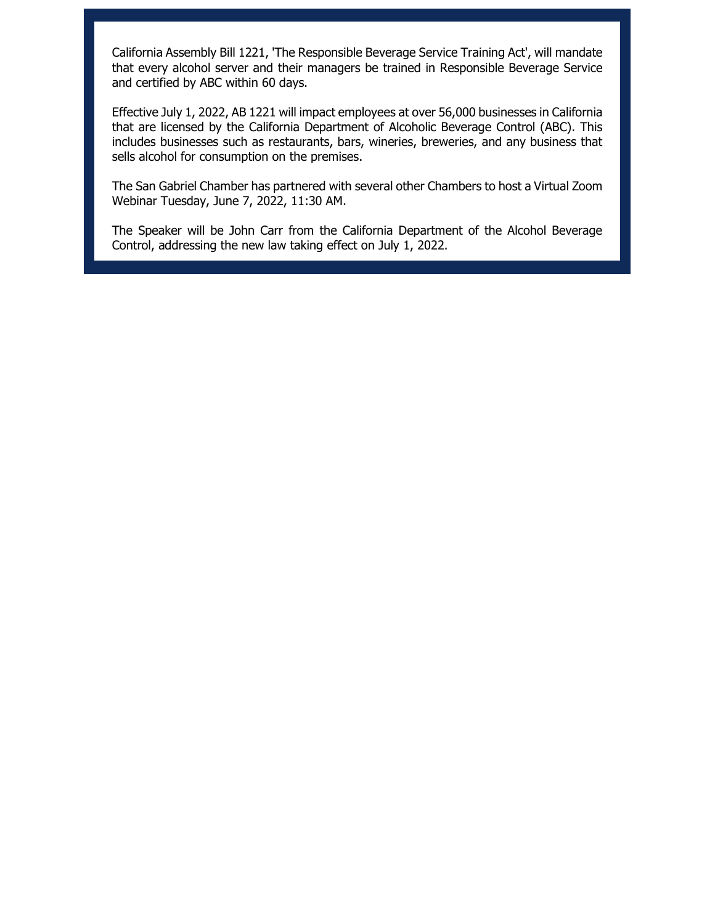California Assembly Bill 1221, 'The Responsible Beverage Service Training Act', will mandate that every alcohol server and their managers be trained in Responsible Beverage Service and certified by ABC within 60 days.

Effective July 1, 2022, AB 1221 will impact employees at over 56,000 businesses in California that are licensed by the California Department of Alcoholic Beverage Control (ABC). This includes businesses such as restaurants, bars, wineries, breweries, and any business that sells alcohol for consumption on the premises.

The San Gabriel Chamber has partnered with several other Chambers to host a Virtual Zoom Webinar Tuesday, June 7, 2022, 11:30 AM.

The Speaker will be John Carr from the California Department of the Alcohol Beverage Control, addressing the new law taking effect on July 1, 2022.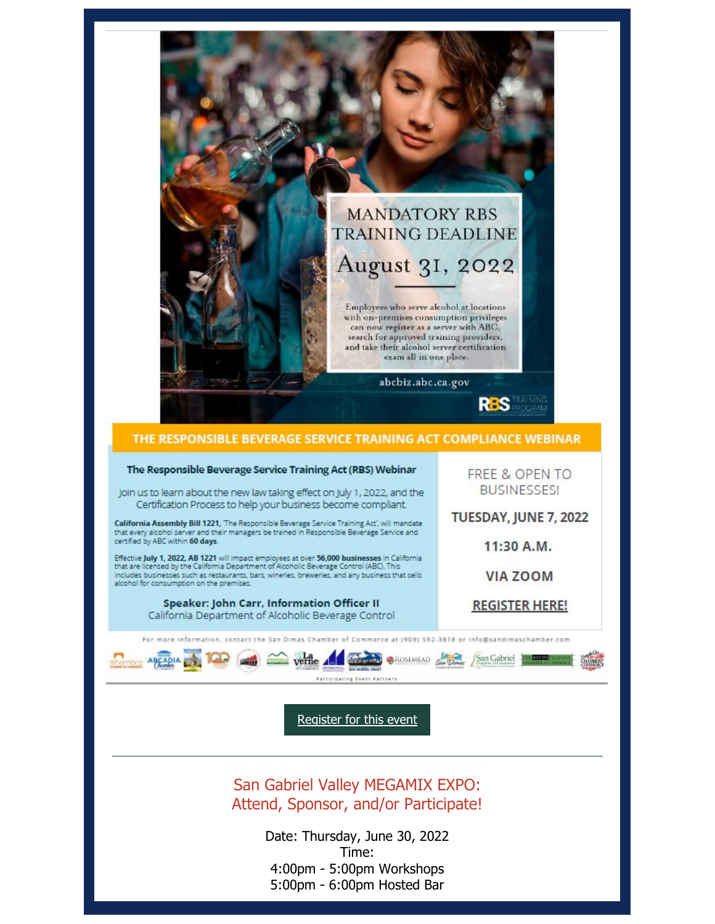

#### THE RESPONSIBLE BEVERAGE SERVICE TRAINING ACT COMPLIANCE WEBINAR The Responsible Beverage Service Training Act (RBS) Webinar FREE & OPEN TO **BUSINESSES!** Join us to learn about the new law taking effect on July 1, 2022, and the Certification Process to help your business become compliant. TUESDAY, JUNE 7, 2022 California Assembly Bill 1221, The Responsible Beverage Service Training Act', will mandate<br>that every alcohol server and their managers be trained in Responsible Beverage Service and certified by ABC within 60 days. 11:30 A.M. Effective **July 1, 2022, AB 1221** will impact employees at over 56,000 businesses in California<br>that are licensed by the California Department of Alcoholic Beverage Control (ABC). This includes businesses such as restaurants, bars, wineries, breweries, and any business that sells **VIA ZOOM** alcohol for consumption on the premises. Speaker: John Carr, Information Officer II **REGISTER HERE!** California Department of Alcoholic Beverage Control For more information, contact the San Dimas Chamber of Commerce at (909) 592-3818 or info@sandimaschamber.com ARCADIA verne And Court & BROSEMEAD Con Captrice Haven Participating Cyent Partnel [Register for this event](https://nam12.safelinks.protection.outlook.com/?url=https%3A%2F%2Fr20.rs6.net%2Ftn.jsp%3Ff%3D001sEnGehbwOZ2re2gf0v3HLbqKc61rdfBRRI-paU8pdkIAakjgbyKa8hy9WCHDr4PwzWaGa5m48aoglkUDEuwaga2G_V8bXJq8gN8XiTKBTyaRm4zUmDoqxNN4NprKQlUeF47i5K72FQ3qzub5thWbW6QdbEr5vojMvaj8zIeI7L3Ffej-1LHKqTw-2BHW3ZLzuQKyJqpJdjysUPIO7TXSGY5OH7XSvGaHxH7kiMN6XHjd19GqmCsRKLGo1cU0grw5u7p60pg0P1Pm7HnKxihXHgh3XlOCZxWxnZ1kk1D0lv_qdJ3k5H0gHA%3D%3D%26c%3Dn1ZfmucliXRvu6esVJL26tW8tfxIRepOhBeF13ou6PWfo8oz03J00Q%3D%3D%26ch%3D8Oo4wQonsiPtr7e27LTHPkmbIEOMpWRrs1qrKZlOMAV-EXlVR9pmKg%3D%3D&data=05%7C01%7C%7Cfe7968966c8242887cc908da4907fb59%7C84df9e7fe9f640afb435aaaaaaaaaaaa%7C1%7C0%7C637902595891504824%7CUnknown%7CTWFpbGZsb3d8eyJWIjoiMC4wLjAwMDAiLCJQIjoiV2luMzIiLCJBTiI6Ik1haWwiLCJXVCI6Mn0%3D%7C3000%7C%7C%7C&sdata=uyaneIpG38ShRhz1LpslV3m6lCltvTlOYnMbIy7HG%2Bo%3D&reserved=0)

San Gabriel Valley MEGAMIX EXPO: Attend, Sponsor, and/or Participate!

> Date: Thursday, June 30, 2022 Time: 4:00pm - 5:00pm Workshops 5:00pm - 6:00pm Hosted Bar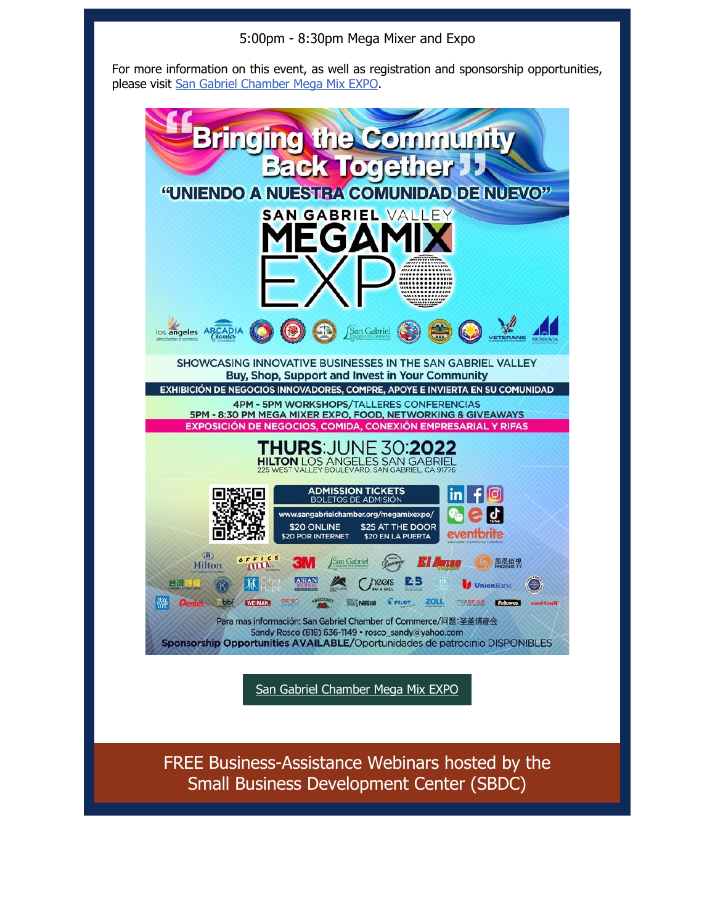5:00pm - 8:30pm Mega Mixer and Expo

For more information on this event, as well as registration and sponsorship opportunities, please visit [San Gabriel Chamber Mega Mix EXPO.](https://nam12.safelinks.protection.outlook.com/?url=https%3A%2F%2Fr20.rs6.net%2Ftn.jsp%3Ff%3D001sEnGehbwOZ2re2gf0v3HLbqKc61rdfBRRI-paU8pdkIAakjgbyKa8kIH1wsDh5FN2m16KTnVSnc7wEdiigFEl2LHeruJdoCyRO87Ty9NSx37JFGOcr9rmGkhdRjeK_iUzxpy4Xr1PRwOJp8c_uNi2RerPcBTAEWzgm5BGFPWfYo%3D%26c%3Dn1ZfmucliXRvu6esVJL26tW8tfxIRepOhBeF13ou6PWfo8oz03J00Q%3D%3D%26ch%3D8Oo4wQonsiPtr7e27LTHPkmbIEOMpWRrs1qrKZlOMAV-EXlVR9pmKg%3D%3D&data=05%7C01%7C%7Cfe7968966c8242887cc908da4907fb59%7C84df9e7fe9f640afb435aaaaaaaaaaaa%7C1%7C0%7C637902595891504824%7CUnknown%7CTWFpbGZsb3d8eyJWIjoiMC4wLjAwMDAiLCJQIjoiV2luMzIiLCJBTiI6Ik1haWwiLCJXVCI6Mn0%3D%7C3000%7C%7C%7C&sdata=3WlJtilG%2FsQ3TIslCaYhE7qxWunkAdfbtFkF5Qwr6SY%3D&reserved=0)